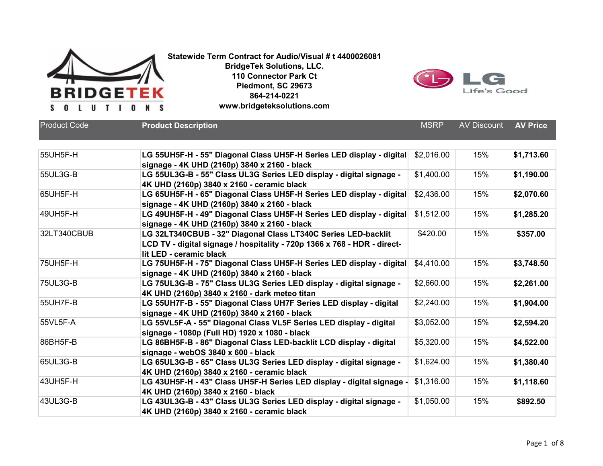



| <b>Product Code</b> | <b>Product Description</b>                                                                                                                                           | <b>MSRP</b> | <b>AV Discount</b> | <b>AV Price</b> |
|---------------------|----------------------------------------------------------------------------------------------------------------------------------------------------------------------|-------------|--------------------|-----------------|
| 55UH5F-H            | LG 55UH5F-H - 55" Diagonal Class UH5F-H Series LED display - digital<br>signage - 4K UHD (2160p) 3840 x 2160 - black                                                 | \$2,016.00  | 15%                | \$1,713.60      |
| 55UL3G-B            | LG 55UL3G-B - 55" Class UL3G Series LED display - digital signage -<br>4K UHD (2160p) 3840 x 2160 - ceramic black                                                    | \$1,400.00  | 15%                | \$1,190.00      |
| 65UH5F-H            | LG 65UH5F-H - 65" Diagonal Class UH5F-H Series LED display - digital<br>signage - 4K UHD (2160p) 3840 x 2160 - black                                                 | \$2,436.00  | 15%                | \$2,070.60      |
| 49UH5F-H            | LG 49UH5F-H - 49" Diagonal Class UH5F-H Series LED display - digital<br>signage - 4K UHD (2160p) 3840 x 2160 - black                                                 | \$1,512.00  | 15%                | \$1,285.20      |
| 32LT340CBUB         | LG 32LT340CBUB - 32" Diagonal Class LT340C Series LED-backlit<br>LCD TV - digital signage / hospitality - 720p 1366 x 768 - HDR - direct-<br>lit LED - ceramic black | \$420.00    | 15%                | \$357.00        |
| 75UH5F-H            | LG 75UH5F-H - 75" Diagonal Class UH5F-H Series LED display - digital<br>signage - 4K UHD (2160p) 3840 x 2160 - black                                                 | \$4,410.00  | 15%                | \$3,748.50      |
| 75UL3G-B            | LG 75UL3G-B - 75" Class UL3G Series LED display - digital signage -<br>4K UHD (2160p) 3840 x 2160 - dark meteo titan                                                 | \$2,660.00  | 15%                | \$2,261.00      |
| 55UH7F-B            | LG 55UH7F-B - 55" Diagonal Class UH7F Series LED display - digital<br>signage - 4K UHD (2160p) 3840 x 2160 - black                                                   | \$2,240.00  | 15%                | \$1,904.00      |
| 55VL5F-A            | LG 55VL5F-A - 55" Diagonal Class VL5F Series LED display - digital<br>signage - 1080p (Full HD) 1920 x 1080 - black                                                  | \$3,052.00  | 15%                | \$2,594.20      |
| 86BH5F-B            | LG 86BH5F-B - 86" Diagonal Class LED-backlit LCD display - digital<br>signage - webOS 3840 x 600 - black                                                             | \$5,320.00  | 15%                | \$4,522.00      |
| 65UL3G-B            | LG 65UL3G-B - 65" Class UL3G Series LED display - digital signage -<br>4K UHD (2160p) 3840 x 2160 - ceramic black                                                    | \$1,624.00  | 15%                | \$1,380.40      |
| 43UH5F-H            | LG 43UH5F-H - 43" Class UH5F-H Series LED display - digital signage -<br>4K UHD (2160p) 3840 x 2160 - black                                                          | \$1,316.00  | 15%                | \$1,118.60      |
| 43UL3G-B            | LG 43UL3G-B - 43" Class UL3G Series LED display - digital signage -<br>4K UHD (2160p) 3840 x 2160 - ceramic black                                                    | \$1,050.00  | 15%                | \$892.50        |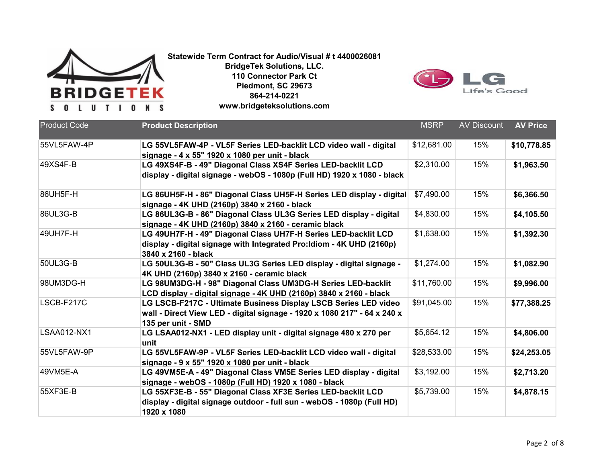



| <b>Product Code</b> | <b>Product Description</b>                                                                                                                                        | <b>MSRP</b> | <b>AV Discount</b> | <b>AV Price</b> |
|---------------------|-------------------------------------------------------------------------------------------------------------------------------------------------------------------|-------------|--------------------|-----------------|
| 55VL5FAW-4P         | LG 55VL5FAW-4P - VL5F Series LED-backlit LCD video wall - digital<br>signage - 4 x 55" 1920 x 1080 per unit - black                                               | \$12,681.00 | 15%                | \$10,778.85     |
| 49XS4F-B            | LG 49XS4F-B - 49" Diagonal Class XS4F Series LED-backlit LCD<br>display - digital signage - webOS - 1080p (Full HD) 1920 x 1080 - black                           | \$2,310.00  | 15%                | \$1,963.50      |
| 86UH5F-H            | LG 86UH5F-H - 86" Diagonal Class UH5F-H Series LED display - digital<br>signage - 4K UHD (2160p) 3840 x 2160 - black                                              | \$7,490.00  | 15%                | \$6,366.50      |
| 86UL3G-B            | LG 86UL3G-B - 86" Diagonal Class UL3G Series LED display - digital<br>signage - 4K UHD (2160p) 3840 x 2160 - ceramic black                                        | \$4,830.00  | 15%                | \$4,105.50      |
| 49UH7F-H            | LG 49UH7F-H - 49" Diagonal Class UH7F-H Series LED-backlit LCD<br>display - digital signage with Integrated Pro: Idiom - 4K UHD (2160p)<br>3840 x 2160 - black    | \$1,638.00  | 15%                | \$1,392.30      |
| 50UL3G-B            | LG 50UL3G-B - 50" Class UL3G Series LED display - digital signage -<br>4K UHD (2160p) 3840 x 2160 - ceramic black                                                 | \$1,274.00  | 15%                | \$1,082.90      |
| 98UM3DG-H           | LG 98UM3DG-H - 98" Diagonal Class UM3DG-H Series LED-backlit<br>LCD display - digital signage - 4K UHD (2160p) 3840 x 2160 - black                                | \$11,760.00 | 15%                | \$9,996.00      |
| LSCB-F217C          | LG LSCB-F217C - Ultimate Business Display LSCB Series LED video<br>wall - Direct View LED - digital signage - 1920 x 1080 217" - 64 x 240 x<br>135 per unit - SMD | \$91,045.00 | 15%                | \$77,388.25     |
| <b>LSAA012-NX1</b>  | LG LSAA012-NX1 - LED display unit - digital signage 480 x 270 per<br>unit                                                                                         | \$5,654.12  | 15%                | \$4,806.00      |
| 55VL5FAW-9P         | LG 55VL5FAW-9P - VL5F Series LED-backlit LCD video wall - digital<br>signage - 9 x 55" 1920 x 1080 per unit - black                                               | \$28,533.00 | 15%                | \$24,253.05     |
| 49VM5E-A            | LG 49VM5E-A - 49" Diagonal Class VM5E Series LED display - digital<br>signage - webOS - 1080p (Full HD) 1920 x 1080 - black                                       | \$3,192.00  | 15%                | \$2,713.20      |
| 55XF3E-B            | LG 55XF3E-B - 55" Diagonal Class XF3E Series LED-backlit LCD<br>display - digital signage outdoor - full sun - webOS - 1080p (Full HD)<br>1920 x 1080             | \$5,739.00  | 15%                | \$4,878.15      |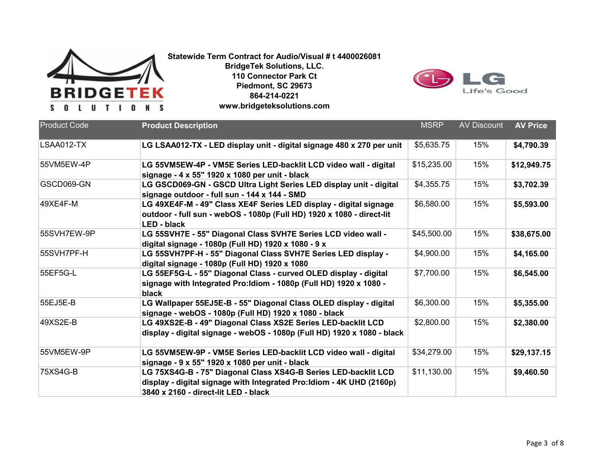

**Statewide Term Contract for Audio/Visual # t 4400026081 BridgeTek Solutions, LLC. 110 Connector Park Ct**

**Piedmont, SC 29673 864-214-0221 www.bridgeteksolutions.com**



| <b>Product Code</b> | <b>Product Description</b>                                                                                                                                                      | <b>MSRP</b> | <b>AV Discount</b> | <b>AV Price</b> |
|---------------------|---------------------------------------------------------------------------------------------------------------------------------------------------------------------------------|-------------|--------------------|-----------------|
| LSAA012-TX          | LG LSAA012-TX - LED display unit - digital signage 480 x 270 per unit                                                                                                           | \$5,635.75  | 15%                | \$4,790.39      |
| 55VM5EW-4P          | LG 55VM5EW-4P - VM5E Series LED-backlit LCD video wall - digital<br>signage - 4 x 55" 1920 x 1080 per unit - black                                                              | \$15,235.00 | 15%                | \$12,949.75     |
| GSCD069-GN          | LG GSCD069-GN - GSCD Ultra Light Series LED display unit - digital<br>signage outdoor - full sun - 144 x 144 - SMD                                                              | \$4,355.75  | 15%                | \$3,702.39      |
| 49XE4F-M            | LG 49XE4F-M - 49" Class XE4F Series LED display - digital signage<br>outdoor - full sun - webOS - 1080p (Full HD) 1920 x 1080 - direct-lit<br><b>LED - black</b>                | \$6,580.00  | 15%                | \$5,593.00      |
| 55SVH7EW-9P         | LG 55SVH7E - 55" Diagonal Class SVH7E Series LCD video wall -<br>digital signage - 1080p (Full HD) 1920 x 1080 - 9 x                                                            | \$45,500.00 | 15%                | \$38,675.00     |
| 55SVH7PF-H          | LG 55SVH7PF-H - 55" Diagonal Class SVH7E Series LED display -<br>digital signage - 1080p (Full HD) 1920 x 1080                                                                  | \$4,900.00  | 15%                | \$4,165.00      |
| 55EF5G-L            | LG 55EF5G-L - 55" Diagonal Class - curved OLED display - digital<br>signage with Integrated Pro: Idiom - 1080p (Full HD) 1920 x 1080 -<br>black                                 | \$7,700.00  | 15%                | \$6,545.00      |
| 55EJ5E-B            | LG Wallpaper 55EJ5E-B - 55" Diagonal Class OLED display - digital<br>signage - webOS - 1080p (Full HD) 1920 x 1080 - black                                                      | \$6,300.00  | 15%                | \$5,355.00      |
| 49XS2E-B            | LG 49XS2E-B - 49" Diagonal Class XS2E Series LED-backlit LCD<br>display - digital signage - webOS - 1080p (Full HD) 1920 x 1080 - black                                         | \$2,800.00  | 15%                | \$2,380.00      |
| 55VM5EW-9P          | LG 55VM5EW-9P - VM5E Series LED-backlit LCD video wall - digital<br>signage - 9 x 55" 1920 x 1080 per unit - black                                                              | \$34,279.00 | 15%                | \$29,137.15     |
| 75XS4G-B            | LG 75XS4G-B - 75" Diagonal Class XS4G-B Series LED-backlit LCD<br>display - digital signage with Integrated Pro: Idiom - 4K UHD (2160p)<br>3840 x 2160 - direct-lit LED - black | \$11,130.00 | 15%                | \$9,460.50      |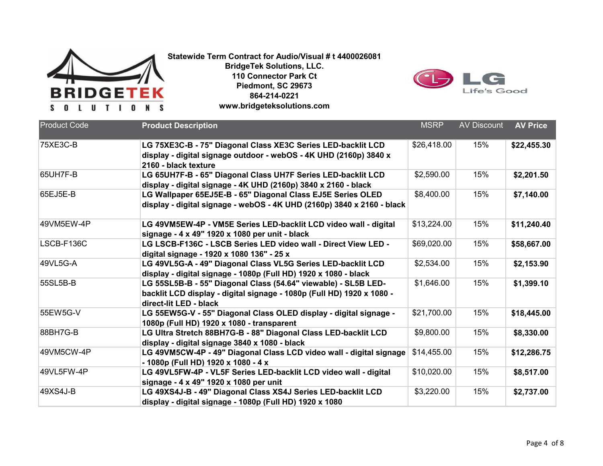



| <b>Product Code</b> | <b>Product Description</b>                                                                                                                                        | <b>MSRP</b> | <b>AV Discount</b> | <b>AV Price</b> |
|---------------------|-------------------------------------------------------------------------------------------------------------------------------------------------------------------|-------------|--------------------|-----------------|
| 75XE3C-B            | LG 75XE3C-B - 75" Diagonal Class XE3C Series LED-backlit LCD<br>display - digital signage outdoor - webOS - 4K UHD (2160p) 3840 x<br>2160 - black texture         | \$26,418.00 | 15%                | \$22,455.30     |
| 65UH7F-B            | LG 65UH7F-B - 65" Diagonal Class UH7F Series LED-backlit LCD<br>display - digital signage - 4K UHD (2160p) 3840 x 2160 - black                                    | \$2,590.00  | 15%                | \$2,201.50      |
| 65EJ5E-B            | LG Wallpaper 65EJ5E-B - 65" Diagonal Class EJ5E Series OLED<br>display - digital signage - webOS - 4K UHD (2160p) 3840 x 2160 - black                             | \$8,400.00  | 15%                | \$7,140.00      |
| 49VM5EW-4P          | LG 49VM5EW-4P - VM5E Series LED-backlit LCD video wall - digital<br>signage - 4 x 49" 1920 x 1080 per unit - black                                                | \$13,224.00 | 15%                | \$11,240.40     |
| LSCB-F136C          | LG LSCB-F136C - LSCB Series LED video wall - Direct View LED -<br>digital signage - 1920 x 1080 136" - 25 x                                                       | \$69,020.00 | 15%                | \$58,667.00     |
| 49VL5G-A            | LG 49VL5G-A - 49" Diagonal Class VL5G Series LED-backlit LCD<br>display - digital signage - 1080p (Full HD) 1920 x 1080 - black                                   | \$2,534.00  | 15%                | \$2,153.90      |
| 55SL5B-B            | LG 55SL5B-B - 55" Diagonal Class (54.64" viewable) - SL5B LED-<br>backlit LCD display - digital signage - 1080p (Full HD) 1920 x 1080 -<br>direct-lit LED - black | \$1,646.00  | 15%                | \$1,399.10      |
| 55EW5G-V            | LG 55EW5G-V - 55" Diagonal Class OLED display - digital signage -<br>1080p (Full HD) 1920 x 1080 - transparent                                                    | \$21,700.00 | 15%                | \$18,445.00     |
| 88BH7G-B            | LG Ultra Stretch 88BH7G-B - 88" Diagonal Class LED-backlit LCD<br>display - digital signage 3840 x 1080 - black                                                   | \$9,800.00  | 15%                | \$8,330.00      |
| 49VM5CW-4P          | LG 49VM5CW-4P - 49" Diagonal Class LCD video wall - digital signage<br>- 1080p (Full HD) 1920 x 1080 - 4 x                                                        | \$14,455.00 | 15%                | \$12,286.75     |
| 49VL5FW-4P          | LG 49VL5FW-4P - VL5F Series LED-backlit LCD video wall - digital<br>signage - 4 x 49" 1920 x 1080 per unit                                                        | \$10,020.00 | 15%                | \$8,517.00      |
| 49XS4J-B            | LG 49XS4J-B - 49" Diagonal Class XS4J Series LED-backlit LCD<br>display - digital signage - 1080p (Full HD) 1920 x 1080                                           | \$3,220.00  | 15%                | \$2,737.00      |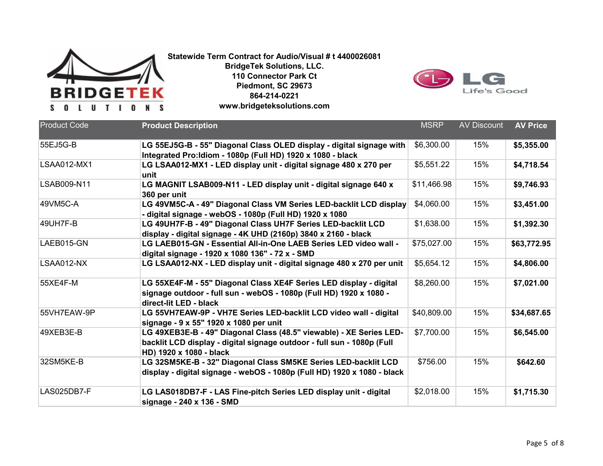

**Statewide Term Contract for Audio/Visual # t 4400026081 BridgeTek Solutions, LLC. 110 Connector Park Ct Piedmont, SC 29673**

**864-214-0221**

**www.bridgeteksolutions.com**



| <b>Product Code</b> | <b>Product Description</b>                                                                                                                                               | <b>MSRP</b> | <b>AV Discount</b> | <b>AV Price</b> |
|---------------------|--------------------------------------------------------------------------------------------------------------------------------------------------------------------------|-------------|--------------------|-----------------|
| 55EJ5G-B            | LG 55EJ5G-B - 55" Diagonal Class OLED display - digital signage with<br>Integrated Pro: Idiom - 1080p (Full HD) 1920 x 1080 - black                                      | \$6,300.00  | 15%                | \$5,355.00      |
| <b>LSAA012-MX1</b>  | LG LSAA012-MX1 - LED display unit - digital signage 480 x 270 per<br>unit                                                                                                | \$5,551.22  | 15%                | \$4,718.54      |
| LSAB009-N11         | LG MAGNIT LSAB009-N11 - LED display unit - digital signage 640 x<br>360 per unit                                                                                         | \$11,466.98 | 15%                | \$9,746.93      |
| 49VM5C-A            | LG 49VM5C-A - 49" Diagonal Class VM Series LED-backlit LCD display<br>- digital signage - webOS - 1080p (Full HD) 1920 x 1080                                            | \$4,060.00  | 15%                | \$3,451.00      |
| 49UH7F-B            | LG 49UH7F-B - 49" Diagonal Class UH7F Series LED-backlit LCD<br>display - digital signage - 4K UHD (2160p) 3840 x 2160 - black                                           | \$1,638.00  | 15%                | \$1,392.30      |
| LAEB015-GN          | LG LAEB015-GN - Essential All-in-One LAEB Series LED video wall -<br>digital signage - 1920 x 1080 136" - 72 x - SMD                                                     | \$75,027.00 | 15%                | \$63,772.95     |
| LSAA012-NX          | LG LSAA012-NX - LED display unit - digital signage 480 x 270 per unit                                                                                                    | \$5,654.12  | 15%                | \$4,806.00      |
| 55XE4F-M            | LG 55XE4F-M - 55" Diagonal Class XE4F Series LED display - digital<br>signage outdoor - full sun - webOS - 1080p (Full HD) 1920 x 1080 -<br>direct-lit LED - black       | \$8,260.00  | 15%                | \$7,021.00      |
| 55VH7EAW-9P         | LG 55VH7EAW-9P - VH7E Series LED-backlit LCD video wall - digital<br>signage - 9 x 55" 1920 x 1080 per unit                                                              | \$40,809.00 | 15%                | \$34,687.65     |
| 49XEB3E-B           | LG 49XEB3E-B - 49" Diagonal Class (48.5" viewable) - XE Series LED-<br>backlit LCD display - digital signage outdoor - full sun - 1080p (Full<br>HD) 1920 x 1080 - black | \$7,700.00  | 15%                | \$6,545.00      |
| 32SM5KE-B           | LG 32SM5KE-B - 32" Diagonal Class SM5KE Series LED-backlit LCD<br>display - digital signage - webOS - 1080p (Full HD) 1920 x 1080 - black                                | \$756.00    | 15%                | \$642.60        |
| LAS025DB7-F         | LG LAS018DB7-F - LAS Fine-pitch Series LED display unit - digital<br>signage - 240 x 136 - SMD                                                                           | \$2,018.00  | 15%                | \$1,715.30      |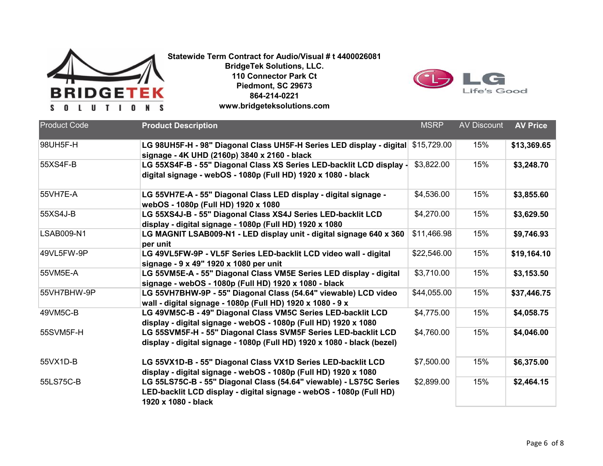



| <b>Product Code</b> | <b>Product Description</b>                                                                                                                                       | <b>MSRP</b> | <b>AV Discount</b> | <b>AV Price</b> |
|---------------------|------------------------------------------------------------------------------------------------------------------------------------------------------------------|-------------|--------------------|-----------------|
| 98UH5F-H            | LG 98UH5F-H - 98" Diagonal Class UH5F-H Series LED display - digital<br>signage - 4K UHD (2160p) 3840 x 2160 - black                                             | \$15,729.00 | 15%                | \$13,369.65     |
| 55XS4F-B            | LG 55XS4F-B - 55" Diagonal Class XS Series LED-backlit LCD display -<br>digital signage - webOS - 1080p (Full HD) 1920 x 1080 - black                            | \$3,822.00  | 15%                | \$3,248.70      |
| 55VH7E-A            | LG 55VH7E-A - 55" Diagonal Class LED display - digital signage -<br>webOS - 1080p (Full HD) 1920 x 1080                                                          | \$4,536.00  | 15%                | \$3,855.60      |
| 55XS4J-B            | LG 55XS4J-B - 55" Diagonal Class XS4J Series LED-backlit LCD<br>display - digital signage - 1080p (Full HD) 1920 x 1080                                          | \$4,270.00  | 15%                | \$3,629.50      |
| <b>LSAB009-N1</b>   | LG MAGNIT LSAB009-N1 - LED display unit - digital signage 640 x 360<br>per unit                                                                                  | \$11,466.98 | 15%                | \$9,746.93      |
| 49VL5FW-9P          | LG 49VL5FW-9P - VL5F Series LED-backlit LCD video wall - digital<br>signage - 9 x 49" 1920 x 1080 per unit                                                       | \$22,546.00 | 15%                | \$19,164.10     |
| 55VM5E-A            | LG 55VM5E-A - 55" Diagonal Class VM5E Series LED display - digital<br>signage - webOS - 1080p (Full HD) 1920 x 1080 - black                                      | \$3,710.00  | 15%                | \$3,153.50      |
| 55VH7BHW-9P         | LG 55VH7BHW-9P - 55" Diagonal Class (54.64" viewable) LCD video<br>wall - digital signage - 1080p (Full HD) 1920 x 1080 - 9 x                                    | \$44,055.00 | 15%                | \$37,446.75     |
| 49VM5C-B            | LG 49VM5C-B - 49" Diagonal Class VM5C Series LED-backlit LCD<br>display - digital signage - webOS - 1080p (Full HD) 1920 x 1080                                  | \$4,775.00  | 15%                | \$4,058.75      |
| 55SVM5F-H           | LG 55SVM5F-H - 55" Diagonal Class SVM5F Series LED-backlit LCD<br>display - digital signage - 1080p (Full HD) 1920 x 1080 - black (bezel)                        | \$4,760.00  | 15%                | \$4,046.00      |
| 55VX1D-B            | LG 55VX1D-B - 55" Diagonal Class VX1D Series LED-backlit LCD<br>display - digital signage - webOS - 1080p (Full HD) 1920 x 1080                                  | \$7,500.00  | 15%                | \$6,375.00      |
| 55LS75C-B           | LG 55LS75C-B - 55" Diagonal Class (54.64" viewable) - LS75C Series<br>LED-backlit LCD display - digital signage - webOS - 1080p (Full HD)<br>1920 x 1080 - black | \$2,899.00  | 15%                | \$2,464.15      |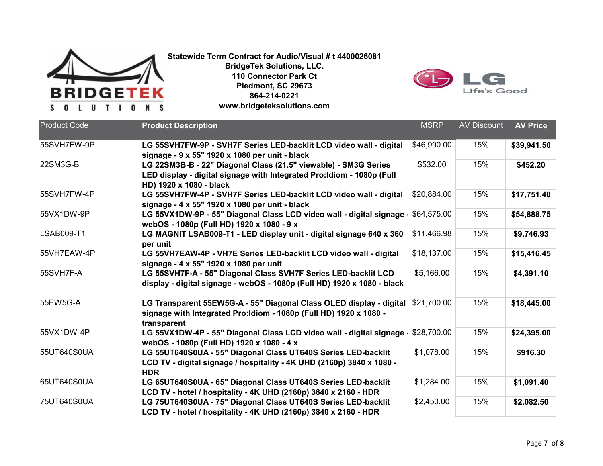



| 55SVH7FW-9P<br>\$46,990.00<br>\$39,941.50<br>LG 55SVH7FW-9P - SVH7F Series LED-backlit LCD video wall - digital<br>15%<br>signage - 9 x 55" 1920 x 1080 per unit - black |  |
|--------------------------------------------------------------------------------------------------------------------------------------------------------------------------|--|
|                                                                                                                                                                          |  |
|                                                                                                                                                                          |  |
|                                                                                                                                                                          |  |
| 22SM3G-B<br>\$532.00<br>15%<br>\$452.20<br>LG 22SM3B-B - 22" Diagonal Class (21.5" viewable) - SM3G Series                                                               |  |
| LED display - digital signage with Integrated Pro: Idiom - 1080p (Full                                                                                                   |  |
| HD) 1920 x 1080 - black                                                                                                                                                  |  |
| 55SVH7FW-4P<br>15%<br>LG 55SVH7FW-4P - SVH7F Series LED-backlit LCD video wall - digital<br>\$20,884.00<br>\$17,751.40                                                   |  |
| signage - 4 x 55" 1920 x 1080 per unit - black                                                                                                                           |  |
| LG 55VX1DW-9P - 55" Diagonal Class LCD video wall - digital signage -<br>15%<br>55VX1DW-9P<br>\$64,575.00<br>\$54,888.75                                                 |  |
| webOS - 1080p (Full HD) 1920 x 1080 - 9 x                                                                                                                                |  |
| 15%<br><b>LSAB009-T1</b><br>LG MAGNIT LSAB009-T1 - LED display unit - digital signage 640 x 360<br>\$11,466.98<br>\$9,746.93                                             |  |
| per unit                                                                                                                                                                 |  |
| \$18,137.00<br>15%<br>55VH7EAW-4P<br>LG 55VH7EAW-4P - VH7E Series LED-backlit LCD video wall - digital<br>\$15,416.45                                                    |  |
| signage - 4 x 55" 1920 x 1080 per unit                                                                                                                                   |  |
| LG 55SVH7F-A - 55" Diagonal Class SVH7F Series LED-backlit LCD<br>\$5,166.00<br>15%<br>\$4,391.10<br>55SVH7F-A                                                           |  |
| display - digital signage - webOS - 1080p (Full HD) 1920 x 1080 - black                                                                                                  |  |
|                                                                                                                                                                          |  |
| 15%<br>55EW5G-A<br>LG Transparent 55EW5G-A - 55" Diagonal Class OLED display - digital<br>\$18,445.00<br>\$21,700.00                                                     |  |
| signage with Integrated Pro: Idiom - 1080p (Full HD) 1920 x 1080 -                                                                                                       |  |
| transparent                                                                                                                                                              |  |
| 55VX1DW-4P<br>15%<br>\$28,700.00<br>\$24,395.00<br>LG 55VX1DW-4P - 55" Diagonal Class LCD video wall - digital signage -                                                 |  |
| webOS - 1080p (Full HD) 1920 x 1080 - 4 x                                                                                                                                |  |
| 15%<br>55UT640S0UA<br>LG 55UT640S0UA - 55" Diagonal Class UT640S Series LED-backlit<br>\$1,078.00<br>\$916.30                                                            |  |
| LCD TV - digital signage / hospitality - 4K UHD (2160p) 3840 x 1080 -                                                                                                    |  |
| <b>HDR</b>                                                                                                                                                               |  |
| 15%<br>65UT640S0UA<br>LG 65UT640S0UA - 65" Diagonal Class UT640S Series LED-backlit<br>\$1,284.00<br>\$1,091.40                                                          |  |
| LCD TV - hotel / hospitality - 4K UHD (2160p) 3840 x 2160 - HDR                                                                                                          |  |
| 15%<br>75UT640S0UA<br>LG 75UT640S0UA - 75" Diagonal Class UT640S Series LED-backlit<br>\$2,450.00<br>\$2,082.50                                                          |  |
| LCD TV - hotel / hospitality - 4K UHD (2160p) 3840 x 2160 - HDR                                                                                                          |  |